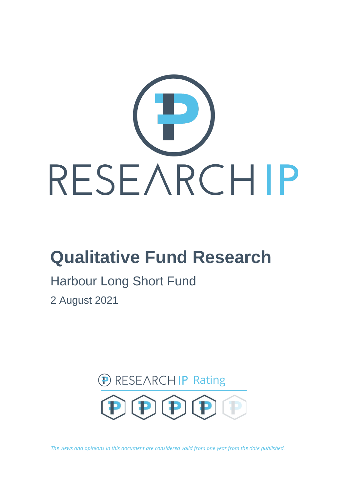

# **Qualitative Fund Research**

## Harbour Long Short Fund

2 August 2021



*The views and opinions in this document are considered valid from one year from the date published.*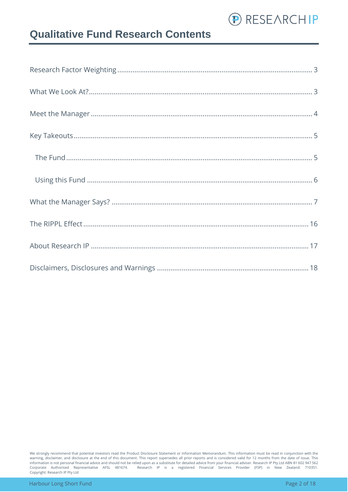

### **Qualitative Fund Research Contents**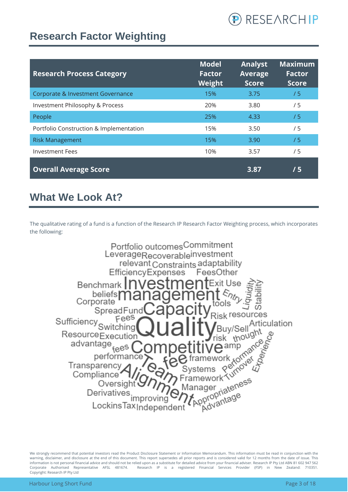

### <span id="page-2-0"></span>**Research Factor Weighting**

| <b>Research Process Category</b>        | <b>Model</b><br><b>Factor</b><br>Weight | <b>Analyst</b><br><b>Average</b><br><b>Score</b> | <b>Maximum</b><br><b>Factor</b><br><b>Score</b> |
|-----------------------------------------|-----------------------------------------|--------------------------------------------------|-------------------------------------------------|
| Corporate & Investment Governance       | 15%                                     | 3.75                                             | /5                                              |
| Investment Philosophy & Process         | 20%                                     | 3.80                                             | /5                                              |
| People                                  | 25%                                     | 4.33                                             | /5                                              |
| Portfolio Construction & Implementation | 15%                                     | 3.50                                             | /5                                              |
| <b>Risk Management</b>                  | 15%                                     | 3.90                                             | /5                                              |
| <b>Investment Fees</b>                  | 10%                                     | 3.57                                             | /5                                              |
| <b>Overall Average Score</b>            |                                         | 3.87                                             | /5                                              |

### <span id="page-2-1"></span>**What We Look At?**

The qualitative rating of a fund is a function of the Research IP Research Factor Weighting process, which incorporates the following:

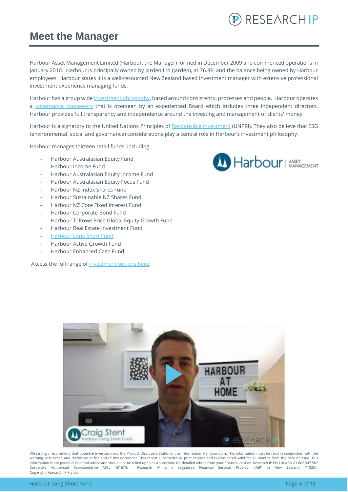#### <span id="page-3-0"></span>**Meet the Manager**

Harbour Asset Management Limited (Harbour, the Manager) formed in December 2009 and commenced operations in January 2010. Harbour is principally owned by Jarden Ltd (Jarden), at 76.3% and the balance being owned by Harbour employees. Harbour states it is a well-resourced New Zealand based investment manager with extensive professional investment experience managing funds.

Harbour has a group wide [investment philosophy,](https://www.harbourasset.co.nz/about-us/investment-philosophy/) based around consistency, processes and people. Harbour operates a [governance framework](https://www.harbourasset.co.nz/about-us/corporate-responsibility/) that is overseen by an experienced Board which includes three independent directors. Harbour provides full transparency and independence around the investing and management of clients' money.

Harbour is a signatory to the United Nations Principles of [Responsible Investment](https://www.harbourasset.co.nz/about-us/responsible-investing/) (UNPRI). They also believe that ESG (environmental, social and governance) considerations play a central role in Harbour's investment philosophy.

Harbour manages thirteen retail funds, including:

- Harbour Australasian Equity Fund
- Harbour Income Fund
- Harbour Australasian Equity Income Fund
- Harbour Australasian Equity Focus Fund
- Harbour NZ Index Shares Fund
- Harbour Sustainable NZ Shares Fund
- Harbour NZ Core Fixed Interest Fund
- Harbour Corporate Bond Fund
- Harbour T. Rowe Price Global Equity Growth Fund
- Harbour Real Estate Investment Fund
- [Harbour Long Short Fund](https://www.harbourasset.co.nz/our-funds/long-short-fund/)
- Harbour Active Growth Fund
- Harbour Enhanced Cash Fund

Access the full range o[f investment options here.](https://platform.research-ip.com/?filter=power&fund_managers=71)



P RESEARCHIP

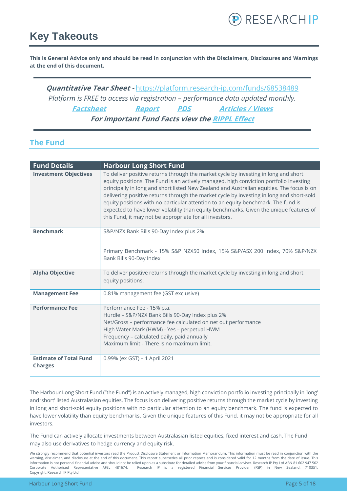### <span id="page-4-0"></span>**Key Takeouts**

**This is General Advice only and should be read in conjunction with the Disclaimers, Disclosures and Warnings at the end of this document.**

**Quantitative Tear Sheet -** <https://platform.research-ip.com/funds/68538489> *Platform is FREE to access via registration – performance data updated monthly.* **[Factsheet](https://www.harbourasset.co.nz/our-funds/long-short-fund/) [Report](https://www.harbourasset.co.nz/our-funds/long-short-fund/) [PDS](https://www.harbourasset.co.nz/our-funds/long-short-fund/) [Articles / Views](https://www.harbourasset.co.nz/research-and-commentary/) For important Fund Facts view th[e RIPPL Effect](https://research-ip.com/rippl-effect-reports/)**

#### <span id="page-4-1"></span>**The Fund**

| <b>Fund Details</b>                             | <b>Harbour Long Short Fund</b>                                                                                                                                                                                                                                                                                                                                                                                                                                                                                                                                                                                   |
|-------------------------------------------------|------------------------------------------------------------------------------------------------------------------------------------------------------------------------------------------------------------------------------------------------------------------------------------------------------------------------------------------------------------------------------------------------------------------------------------------------------------------------------------------------------------------------------------------------------------------------------------------------------------------|
| <b>Investment Objectives</b>                    | To deliver positive returns through the market cycle by investing in long and short<br>equity positions. The Fund is an actively managed, high conviction portfolio investing<br>principally in long and short listed New Zealand and Australian equities. The focus is on<br>delivering positive returns through the market cycle by investing in long and short-sold<br>equity positions with no particular attention to an equity benchmark. The fund is<br>expected to have lower volatility than equity benchmarks. Given the unique features of<br>this Fund, it may not be appropriate for all investors. |
| <b>Benchmark</b>                                | S&P/NZX Bank Bills 90-Day Index plus 2%<br>Primary Benchmark - 15% S&P NZX50 Index, 15% S&P/ASX 200 Index, 70% S&P/NZX<br>Bank Bills 90-Day Index                                                                                                                                                                                                                                                                                                                                                                                                                                                                |
| <b>Alpha Objective</b>                          | To deliver positive returns through the market cycle by investing in long and short<br>equity positions.                                                                                                                                                                                                                                                                                                                                                                                                                                                                                                         |
| <b>Management Fee</b>                           | 0.81% management fee (GST exclusive)                                                                                                                                                                                                                                                                                                                                                                                                                                                                                                                                                                             |
| <b>Performance Fee</b>                          | Performance Fee - 15% p.a.<br>Hurdle - S&P/NZX Bank Bills 90-Day Index plus 2%<br>Net/Gross - performance fee calculated on net out performance<br>High Water Mark (HWM) - Yes - perpetual HWM<br>Frequency - calculated daily, paid annually<br>Maximum limit - There is no maximum limit.                                                                                                                                                                                                                                                                                                                      |
| <b>Estimate of Total Fund</b><br><b>Charges</b> | 0.99% (ex GST) - 1 April 2021                                                                                                                                                                                                                                                                                                                                                                                                                                                                                                                                                                                    |

The Harbour Long Short Fund ("the Fund") is an actively managed, high conviction portfolio investing principally in 'long' and 'short' listed Australasian equities. The focus is on delivering positive returns through the market cycle by investing in long and short-sold equity positions with no particular attention to an equity benchmark. The fund is expected to have lower volatility than equity benchmarks. Given the unique features of this Fund, it may not be appropriate for all investors.

The Fund can actively allocate investments between Australasian listed equities, fixed interest and cash. The Fund may also use derivatives to hedge currency and equity risk.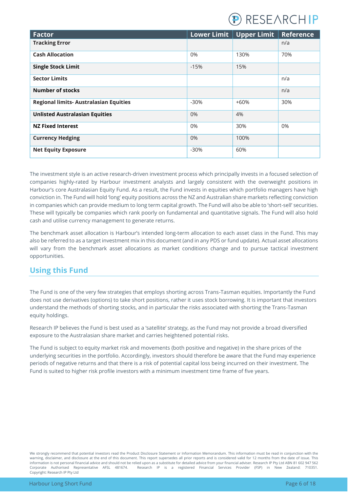

| <b>Factor</b>                                 |        | Lower Limit   Upper Limit | <b>Reference</b> |
|-----------------------------------------------|--------|---------------------------|------------------|
| <b>Tracking Error</b>                         |        |                           | n/a              |
| <b>Cash Allocation</b>                        | 0%     | 130%                      | 70%              |
| <b>Single Stock Limit</b>                     | $-15%$ | 15%                       |                  |
| <b>Sector Limits</b>                          |        |                           | n/a              |
| <b>Number of stocks</b>                       |        |                           | n/a              |
| <b>Regional limits- Australasian Equities</b> | $-30%$ | $+60%$                    | 30%              |
| <b>Unlisted Australasian Equities</b>         | $0\%$  | 4%                        |                  |
| <b>NZ Fixed Interest</b>                      | 0%     | 30%                       | $0\%$            |
| <b>Currency Hedging</b>                       | 0%     | 100%                      |                  |
| <b>Net Equity Exposure</b>                    | $-30%$ | 60%                       |                  |

The investment style is an active research-driven investment process which principally invests in a focused selection of companies highly-rated by Harbour investment analysts and largely consistent with the overweight positions in Harbour's core Australasian Equity Fund. As a result, the Fund invests in equities which portfolio managers have high conviction in. The Fund will hold 'long' equity positions across the NZ and Australian share markets reflecting conviction in companies which can provide medium to long term capital growth. The Fund will also be able to 'short-sell' securities. These will typically be companies which rank poorly on fundamental and quantitative signals. The Fund will also hold cash and utilise currency management to generate returns.

The benchmark asset allocation is Harbour's intended long-term allocation to each asset class in the Fund. This may also be referred to as a target investment mix in this document (and in any PDS or fund update). Actual asset allocations will vary from the benchmark asset allocations as market conditions change and to pursue tactical investment opportunities.

#### <span id="page-5-0"></span>**Using this Fund**

The Fund is one of the very few strategies that employs shorting across Trans-Tasman equities. Importantly the Fund does not use derivatives (options) to take short positions, rather it uses stock borrowing. It is important that investors understand the methods of shorting stocks, and in particular the risks associated with shorting the Trans-Tasman equity holdings.

Research IP believes the Fund is best used as a 'satellite' strategy, as the Fund may not provide a broad diversified exposure to the Australasian share market and carries heightened potential risks.

The Fund is subject to equity market risk and movements (both positive and negative) in the share prices of the underlying securities in the portfolio. Accordingly, investors should therefore be aware that the Fund may experience periods of negative returns and that there is a risk of potential capital loss being incurred on their investment. The Fund is suited to higher risk profile investors with a minimum investment time frame of five years.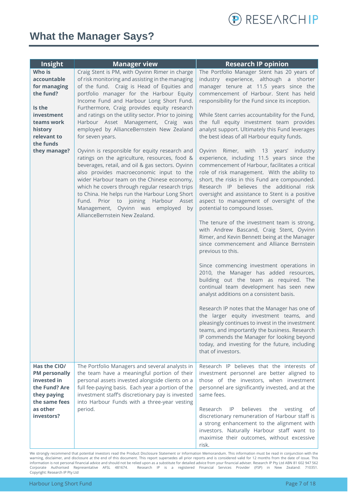

### <span id="page-6-0"></span>**What the Manager Says?**

| Insight                                                                                                                                         | <b>Manager view</b>                                                                                                                                                                                                                                                                                                                                                                                                                                                                                                                                                                                                                                                                                                                                                                                                                                                                                                       | <b>Research IP opinion</b>                                                                                                                                                                                                                                                                                                                                                                                                                                                                                                                                                                                                                                                                                                                                                                                                                                                                                                                                                                                                                                                                                                                                                                                                                                                                      |
|-------------------------------------------------------------------------------------------------------------------------------------------------|---------------------------------------------------------------------------------------------------------------------------------------------------------------------------------------------------------------------------------------------------------------------------------------------------------------------------------------------------------------------------------------------------------------------------------------------------------------------------------------------------------------------------------------------------------------------------------------------------------------------------------------------------------------------------------------------------------------------------------------------------------------------------------------------------------------------------------------------------------------------------------------------------------------------------|-------------------------------------------------------------------------------------------------------------------------------------------------------------------------------------------------------------------------------------------------------------------------------------------------------------------------------------------------------------------------------------------------------------------------------------------------------------------------------------------------------------------------------------------------------------------------------------------------------------------------------------------------------------------------------------------------------------------------------------------------------------------------------------------------------------------------------------------------------------------------------------------------------------------------------------------------------------------------------------------------------------------------------------------------------------------------------------------------------------------------------------------------------------------------------------------------------------------------------------------------------------------------------------------------|
| Who is<br>accountable<br>for managing<br>the fund?<br>Is the<br>investment<br>teams work<br>history<br>relevant to<br>the funds<br>they manage? | Craig Stent is PM, with Oyvinn Rimer in charge<br>of risk monitoring and assisting in the managing<br>of the fund. Craig is Head of Equities and<br>portfolio manager for the Harbour Equity<br>Income Fund and Harbour Long Short Fund.<br>Furthermore, Craig provides equity research<br>and ratings on the utility sector. Prior to joining<br>Harbour Asset Management, Craig was<br>employed by AllianceBernstein New Zealand<br>for seven years.<br>Oyvinn is responsible for equity research and<br>ratings on the agriculture, resources, food &<br>beverages, retail, and oil & gas sectors. Oyvinn<br>also provides macroeconomic input to the<br>wider Harbour team on the Chinese economy,<br>which he covers through regular research trips<br>to China. He helps run the Harbour Long Short<br>Fund. Prior to joining Harbour Asset<br>Management, Oyvinn was employed by<br>AllianceBernstein New Zealand. | The Portfolio Manager Stent has 20 years of<br>industry experience, although a shorter<br>manager tenure at 11.5 years since the<br>commencement of Harbour. Stent has held<br>responsibility for the Fund since its inception.<br>While Stent carries accountability for the Fund,<br>the full equity investment team provides<br>analyst support. Ultimately this Fund leverages<br>the best ideas of all Harbour equity funds.<br>Oyvinn Rimer, with 13 years' industry<br>experience, including 11.5 years since the<br>commencement of Harbour, facilitates a critical<br>role of risk management. With the ability to<br>short, the risks in this Fund are compounded.<br>Research IP believes the additional risk<br>oversight and assistance to Stent is a positive<br>aspect to management of oversight of the<br>potential to compound losses.<br>The tenure of the investment team is strong,<br>with Andrew Bascand, Craig Stent, Oyvinn<br>Rimer, and Kevin Bennett being at the Manager<br>since commencement and Alliance Bernstein<br>previous to this.<br>Since commencing investment operations in<br>2010, the Manager has added resources,<br>building out the team as required. The<br>continual team development has seen new<br>analyst additions on a consistent basis. |
|                                                                                                                                                 |                                                                                                                                                                                                                                                                                                                                                                                                                                                                                                                                                                                                                                                                                                                                                                                                                                                                                                                           | Research IP notes that the Manager has one of<br>the larger equity investment teams, and<br>pleasingly continues to invest in the investment<br>teams, and importantly the business. Research<br>IP commends the Manager for looking beyond<br>today, and investing for the future, including<br>that of investors.                                                                                                                                                                                                                                                                                                                                                                                                                                                                                                                                                                                                                                                                                                                                                                                                                                                                                                                                                                             |
| Has the CIO/<br><b>PM personally</b><br>invested in<br>the Fund? Are<br>they paying<br>the same fees<br>as other<br>investors?                  | The Portfolio Managers and several analysts in<br>the team have a meaningful portion of their<br>personal assets invested alongside clients on a<br>full fee-paying basis. Each year a portion of the<br>investment staff's discretionary pay is invested<br>into Harbour Funds with a three-year vesting<br>period.                                                                                                                                                                                                                                                                                                                                                                                                                                                                                                                                                                                                      | Research IP believes that the interests of<br>investment personnel are better aligned to<br>those of the investors, when investment<br>personnel are significantly invested, and at the<br>same fees.<br>believes<br>Research<br>IP<br>the<br>vesting<br>0t<br>discretionary remuneration of Harbour staff is<br>a strong enhancement to the alignment with<br>investors. Naturally Harbour staff want to<br>maximise their outcomes, without excessive<br>risk.                                                                                                                                                                                                                                                                                                                                                                                                                                                                                                                                                                                                                                                                                                                                                                                                                                |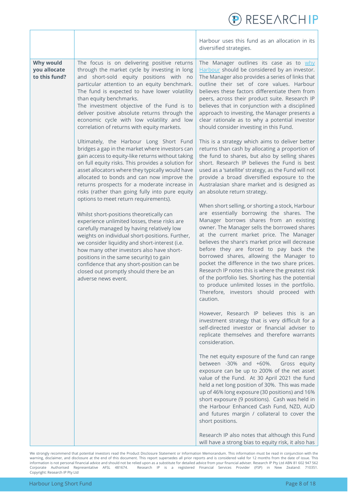|                                                   |                                                                                                                                                                                                                                                                                                                                                                                                                                                                                                                                                                                                                                                                                                                                                                                                                                                                                                                                                                                                                                                                                                                                                                                                                                                                                                                                                                             | <b>RESEARCHIP</b>                                                                                                                                                                                                                                                                                                                                                                                                                                                                                                                                                                                                                                                                                                                                                                                                                                                                                                                                                                                                                                                                                                                                                                                                                                                                                                                                                                                                                                                                                                                                  |
|---------------------------------------------------|-----------------------------------------------------------------------------------------------------------------------------------------------------------------------------------------------------------------------------------------------------------------------------------------------------------------------------------------------------------------------------------------------------------------------------------------------------------------------------------------------------------------------------------------------------------------------------------------------------------------------------------------------------------------------------------------------------------------------------------------------------------------------------------------------------------------------------------------------------------------------------------------------------------------------------------------------------------------------------------------------------------------------------------------------------------------------------------------------------------------------------------------------------------------------------------------------------------------------------------------------------------------------------------------------------------------------------------------------------------------------------|----------------------------------------------------------------------------------------------------------------------------------------------------------------------------------------------------------------------------------------------------------------------------------------------------------------------------------------------------------------------------------------------------------------------------------------------------------------------------------------------------------------------------------------------------------------------------------------------------------------------------------------------------------------------------------------------------------------------------------------------------------------------------------------------------------------------------------------------------------------------------------------------------------------------------------------------------------------------------------------------------------------------------------------------------------------------------------------------------------------------------------------------------------------------------------------------------------------------------------------------------------------------------------------------------------------------------------------------------------------------------------------------------------------------------------------------------------------------------------------------------------------------------------------------------|
|                                                   |                                                                                                                                                                                                                                                                                                                                                                                                                                                                                                                                                                                                                                                                                                                                                                                                                                                                                                                                                                                                                                                                                                                                                                                                                                                                                                                                                                             | Harbour uses this fund as an allocation in its<br>diversified strategies.                                                                                                                                                                                                                                                                                                                                                                                                                                                                                                                                                                                                                                                                                                                                                                                                                                                                                                                                                                                                                                                                                                                                                                                                                                                                                                                                                                                                                                                                          |
| <b>Why would</b><br>you allocate<br>to this fund? | The focus is on delivering positive returns<br>through the market cycle by investing in long<br>and short-sold equity positions with no<br>particular attention to an equity benchmark.<br>The fund is expected to have lower volatility<br>than equity benchmarks.<br>The investment objective of the Fund is to<br>deliver positive absolute returns through the<br>economic cycle with low volatility and low<br>correlation of returns with equity markets.<br>Ultimately, the Harbour Long Short Fund<br>bridges a gap in the market where investors can<br>gain access to equity-like returns without taking<br>on full equity risks. This provides a solution for<br>asset allocators where they typically would have<br>allocated to bonds and can now improve the<br>returns prospects for a moderate increase in<br>risks (rather than going fully into pure equity<br>options to meet return requirements).<br>Whilst short-positions theoretically can<br>experience unlimited losses, these risks are<br>carefully managed by having relatively low<br>weights on individual short-positions. Further,<br>we consider liquidity and short-interest (i.e.<br>how many other investors also have short-<br>positions in the same security) to gain<br>confidence that any short-position can be<br>closed out promptly should there be an<br>adverse news event. | The Manager outlines its case as to why<br>Harbour should be considered by an investor.<br>The Manager also provides a series of links that<br>outline their set of core values. Harbour<br>believes these factors differentiate them from<br>peers, across their product suite. Research IP<br>believes that in conjunction with a disciplined<br>approach to investing, the Manager presents a<br>clear rationale as to why a potential investor<br>should consider investing in this Fund.<br>This is a strategy which aims to deliver better<br>returns than cash by allocating a proportion of<br>the fund to shares, but also by selling shares<br>short. Research IP believes the Fund is best<br>used as a 'satellite' strategy, as the Fund will not<br>provide a broad diversified exposure to the<br>Australasian share market and is designed as<br>an absolute return strategy.<br>When short selling, or shorting a stock, Harbour<br>are essentially borrowing the shares. The<br>Manager borrows shares from an existing<br>owner. The Manager sells the borrowed shares<br>at the current market price. The Manager<br>believes the share's market price will decrease<br>before they are forced to pay back the<br>borrowed shares, allowing the Manager to<br>pocket the difference in the two share prices.<br>Research IP notes this is where the greatest risk<br>of the portfolio lies. Shorting has the potential<br>to produce unlimited losses in the portfolio.<br>Therefore, investors should proceed with<br>caution. |
|                                                   |                                                                                                                                                                                                                                                                                                                                                                                                                                                                                                                                                                                                                                                                                                                                                                                                                                                                                                                                                                                                                                                                                                                                                                                                                                                                                                                                                                             | However, Research IP believes this is an<br>investment strategy that is very difficult for a<br>self-directed investor or financial adviser to<br>replicate themselves and therefore warrants<br>consideration.<br>The net equity exposure of the fund can range                                                                                                                                                                                                                                                                                                                                                                                                                                                                                                                                                                                                                                                                                                                                                                                                                                                                                                                                                                                                                                                                                                                                                                                                                                                                                   |
|                                                   |                                                                                                                                                                                                                                                                                                                                                                                                                                                                                                                                                                                                                                                                                                                                                                                                                                                                                                                                                                                                                                                                                                                                                                                                                                                                                                                                                                             | between -30% and +60%.<br>Gross equity<br>exposure can be up to 200% of the net asset<br>value of the Fund. At 30 April 2021 the fund<br>held a net long position of 30%. This was made<br>up of 46% long exposure (30 positions) and 16%<br>short exposure (9 positions). Cash was held in<br>the Harbour Enhanced Cash Fund, NZD, AUD<br>and futures margin / collateral to cover the<br>short positions.                                                                                                                                                                                                                                                                                                                                                                                                                                                                                                                                                                                                                                                                                                                                                                                                                                                                                                                                                                                                                                                                                                                                        |
|                                                   |                                                                                                                                                                                                                                                                                                                                                                                                                                                                                                                                                                                                                                                                                                                                                                                                                                                                                                                                                                                                                                                                                                                                                                                                                                                                                                                                                                             | Research IP also notes that although this Fund<br>will have a strong bias to equity risk, it also has                                                                                                                                                                                                                                                                                                                                                                                                                                                                                                                                                                                                                                                                                                                                                                                                                                                                                                                                                                                                                                                                                                                                                                                                                                                                                                                                                                                                                                              |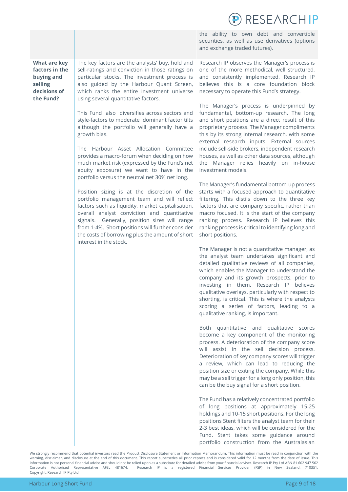|                                                                                             |                                                                                                                                                                                                                                                                                                                                                                                                                                                                                                                                                                                                                                                                                                                                                                                                                                                                                                                                                                                                                                                                                   | RESEARCHIP                                                                                                                                                                                                                                                                                                                                                                                                                                                                                                                                                                                                                                                                                                                                                                                                                                                                                                                                                                                                                                                                                                                                                                                                                                                                                                                                                                                                                                                                                                                                                                                                                                                                                                                                                                                                                                                                                                                                                                                                                                                                                                                    |
|---------------------------------------------------------------------------------------------|-----------------------------------------------------------------------------------------------------------------------------------------------------------------------------------------------------------------------------------------------------------------------------------------------------------------------------------------------------------------------------------------------------------------------------------------------------------------------------------------------------------------------------------------------------------------------------------------------------------------------------------------------------------------------------------------------------------------------------------------------------------------------------------------------------------------------------------------------------------------------------------------------------------------------------------------------------------------------------------------------------------------------------------------------------------------------------------|-------------------------------------------------------------------------------------------------------------------------------------------------------------------------------------------------------------------------------------------------------------------------------------------------------------------------------------------------------------------------------------------------------------------------------------------------------------------------------------------------------------------------------------------------------------------------------------------------------------------------------------------------------------------------------------------------------------------------------------------------------------------------------------------------------------------------------------------------------------------------------------------------------------------------------------------------------------------------------------------------------------------------------------------------------------------------------------------------------------------------------------------------------------------------------------------------------------------------------------------------------------------------------------------------------------------------------------------------------------------------------------------------------------------------------------------------------------------------------------------------------------------------------------------------------------------------------------------------------------------------------------------------------------------------------------------------------------------------------------------------------------------------------------------------------------------------------------------------------------------------------------------------------------------------------------------------------------------------------------------------------------------------------------------------------------------------------------------------------------------------------|
|                                                                                             |                                                                                                                                                                                                                                                                                                                                                                                                                                                                                                                                                                                                                                                                                                                                                                                                                                                                                                                                                                                                                                                                                   | the ability to own debt and convertible<br>securities, as well as use derivatives (options<br>and exchange traded futures).                                                                                                                                                                                                                                                                                                                                                                                                                                                                                                                                                                                                                                                                                                                                                                                                                                                                                                                                                                                                                                                                                                                                                                                                                                                                                                                                                                                                                                                                                                                                                                                                                                                                                                                                                                                                                                                                                                                                                                                                   |
| <b>What are key</b><br>factors in the<br>buying and<br>selling<br>decisions of<br>the Fund? | The key factors are the analysts' buy, hold and<br>sell-ratings and conviction in those ratings on<br>particular stocks. The investment process is<br>also guided by the Harbour Quant Screen,<br>which ranks the entire investment universe<br>using several quantitative factors.<br>This Fund also diversifies across sectors and<br>style-factors to moderate dominant factor tilts<br>although the portfolio will generally have a<br>growth bias.<br>The Harbour Asset Allocation Committee<br>provides a macro-forum when deciding on how<br>much market risk (expressed by the Fund's net<br>equity exposure) we want to have in the<br>portfolio versus the neutral net 30% net long.<br>Position sizing is at the discretion of the<br>portfolio management team and will reflect<br>factors such as liquidity, market capitalisation,<br>overall analyst conviction and quantitative<br>signals. Generally, position sizes will range<br>from 1-4%. Short positions will further consider<br>the costs of borrowing plus the amount of short<br>interest in the stock. | Research IP observes the Manager's process is<br>one of the more methodical, well structured,<br>and consistently implemented. Research IP<br>believes this is a core foundation block<br>necessary to operate this Fund's strategy.<br>The Manager's process is underpinned by<br>fundamental, bottom-up research. The long<br>and short positions are a direct result of this<br>proprietary process. The Manager compliments<br>this by its strong internal research, with some<br>external research inputs. External sources<br>include sell-side brokers, independent research<br>houses, as well as other data sources, although<br>the Manager relies heavily on in-house<br>investment models.<br>The Manager's fundamental bottom-up process<br>starts with a focused approach to quantitative<br>filtering. This distils down to the three key<br>factors that are company specific, rather than<br>macro focused. It is the start of the company<br>ranking process. Research IP believes this<br>ranking process is critical to identifying long and<br>short positions.<br>The Manager is not a quantitative manager, as<br>the analyst team undertakes significant and<br>detailed qualitative reviews of all companies,<br>which enables the Manager to understand the<br>company and its growth prospects, prior to<br>investing in them. Research IP believes<br>qualitative overlays, particularly with respect to<br>shorting, is critical. This is where the analysts<br>scoring a series of factors, leading to a<br>qualitative ranking, is important.<br>Both quantitative and qualitative scores<br>become a key component of the monitoring<br>process. A deterioration of the company score<br>will assist in the sell decision process.<br>Deterioration of key company scores will trigger<br>a review, which can lead to reducing the<br>position size or exiting the company. While this<br>may be a sell trigger for a long only position, this<br>can be the buy signal for a short position.<br>The Fund has a relatively concentrated portfolio<br>of long positions at approximately 15-25 |
|                                                                                             |                                                                                                                                                                                                                                                                                                                                                                                                                                                                                                                                                                                                                                                                                                                                                                                                                                                                                                                                                                                                                                                                                   | holdings and 10-15 short positions. For the long<br>positions Stent filters the analyst team for their<br>2-3 best ideas, which will be considered for the<br>Fund. Stent takes some guidance around<br>portfolio construction from the Australasian                                                                                                                                                                                                                                                                                                                                                                                                                                                                                                                                                                                                                                                                                                                                                                                                                                                                                                                                                                                                                                                                                                                                                                                                                                                                                                                                                                                                                                                                                                                                                                                                                                                                                                                                                                                                                                                                          |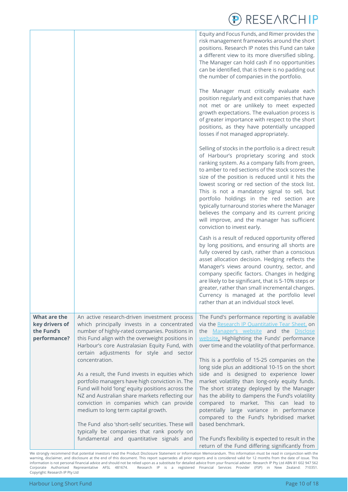|                                                              |                                                                                                                                                                                                                                                                                                                                                                                                                        | <b>RESEARCHIP</b>                                                                                                                                                                                                                                                                                                                                                                                                                                                                                                                                                                               |
|--------------------------------------------------------------|------------------------------------------------------------------------------------------------------------------------------------------------------------------------------------------------------------------------------------------------------------------------------------------------------------------------------------------------------------------------------------------------------------------------|-------------------------------------------------------------------------------------------------------------------------------------------------------------------------------------------------------------------------------------------------------------------------------------------------------------------------------------------------------------------------------------------------------------------------------------------------------------------------------------------------------------------------------------------------------------------------------------------------|
|                                                              |                                                                                                                                                                                                                                                                                                                                                                                                                        | Equity and Focus Funds, and Rimer provides the<br>risk management frameworks around the short<br>positions. Research IP notes this Fund can take<br>a different view to its more diversified sibling.<br>The Manager can hold cash if no opportunities<br>can be identified, that is there is no padding out<br>the number of companies in the portfolio.                                                                                                                                                                                                                                       |
|                                                              |                                                                                                                                                                                                                                                                                                                                                                                                                        | The Manager must critically evaluate each<br>position regularly and exit companies that have<br>not met or are unlikely to meet expected<br>growth expectations. The evaluation process is<br>of greater importance with respect to the short<br>positions, as they have potentially uncapped<br>losses if not managed appropriately.                                                                                                                                                                                                                                                           |
|                                                              |                                                                                                                                                                                                                                                                                                                                                                                                                        | Selling of stocks in the portfolio is a direct result<br>of Harbour's proprietary scoring and stock<br>ranking system. As a company falls from green,<br>to amber to red sections of the stock scores the<br>size of the position is reduced until it hits the<br>lowest scoring or red section of the stock list.<br>This is not a mandatory signal to sell, but<br>portfolio holdings in the red section are<br>typically turnaround stories where the Manager<br>believes the company and its current pricing<br>will improve, and the manager has sufficient<br>conviction to invest early. |
|                                                              |                                                                                                                                                                                                                                                                                                                                                                                                                        | Cash is a result of reduced opportunity offered<br>by long positions, and ensuring all shorts are<br>fully covered by cash, rather than a conscious<br>asset allocation decision. Hedging reflects the<br>Manager's views around country, sector, and<br>company specific factors. Changes in hedging<br>are likely to be significant, that is 5-10% steps or<br>greater, rather than small incremental changes.<br>Currency is managed at the portfolio level<br>rather than at an individual stock level.                                                                                     |
| What are the<br>key drivers of<br>the Fund's<br>performance? | An active research-driven investment process<br>which principally invests in a concentrated<br>number of highly-rated companies. Positions in<br>this Fund align with the overweight positions in<br>Harbour's core Australasian Equity Fund, with<br>certain adjustments for style and sector<br>concentration.<br>As a result, the Fund invests in equities which<br>portfolio managers have high conviction in. The | The Fund's performance reporting is available<br>via the Research IP Quantitative Tear Sheet, on<br>the Manager's website and the Disclose<br>website. Highlighting the Funds' performance<br>over time and the volatility of that performance.<br>This is a portfolio of 15-25 companies on the<br>long side plus an additional 10-15 on the short<br>side and is designed to experience lower<br>market volatility than long-only equity funds.                                                                                                                                               |
|                                                              | Fund will hold 'long' equity positions across the<br>NZ and Australian share markets reflecting our<br>conviction in companies which can provide<br>medium to long term capital growth.<br>The Fund also 'short-sells' securities. These will<br>typically be companies that rank poorly on<br>fundamental and quantitative signals and                                                                                | The short strategy deployed by the Manager<br>has the ability to dampens the Fund's volatility<br>compared to market. This can lead to<br>potentially large variance in performance<br>compared to the Fund's hybridised market<br>based benchmark.<br>The Fund's flexibility is expected to result in the                                                                                                                                                                                                                                                                                      |
|                                                              |                                                                                                                                                                                                                                                                                                                                                                                                                        | return of the Fund differing significantly from                                                                                                                                                                                                                                                                                                                                                                                                                                                                                                                                                 |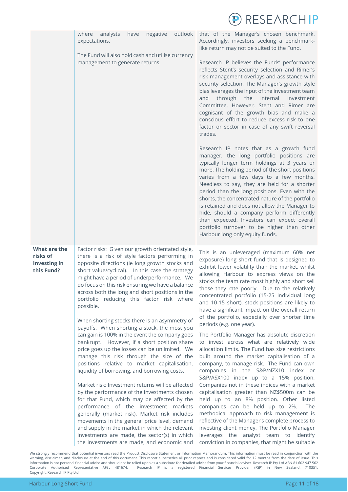

|                                                        | outlook<br>analysts<br>where<br>have<br>negative<br>expectations.<br>The Fund will also hold cash and utilise currency<br>management to generate returns.                                                                                                                                                                                                                                                                                                                                                                                                                                                                                                                                                                                                                                                                                                                                                                                                                                                                                                                                                                                                                                                                                                             | that of the Manager's chosen benchmark.<br>Accordingly, investors seeking a benchmark-<br>like return may not be suited to the Fund.<br>Research IP believes the Funds' performance<br>reflects Stent's security selection and Rimer's<br>risk management overlays and assistance with<br>security selection. The Manager's growth style<br>bias leverages the input of the investment team<br>through the internal<br>and<br>Investment<br>Committee. However, Stent and Rimer are<br>cognisant of the growth bias and make a<br>conscious effort to reduce excess risk to one<br>factor or sector in case of any swift reversal<br>trades.<br>Research IP notes that as a growth fund<br>manager, the long portfolio positions are<br>typically longer term holdings at 3 years or<br>more. The holding period of the short positions<br>varies from a few days to a few months.<br>Needless to say, they are held for a shorter<br>period than the long positions. Even with the<br>shorts, the concentrated nature of the portfolio<br>is retained and does not allow the Manager to<br>hide, should a company perform differently<br>than expected. Investors can expect overall<br>portfolio turnover to be higher than other<br>Harbour long only equity funds.                              |
|--------------------------------------------------------|-----------------------------------------------------------------------------------------------------------------------------------------------------------------------------------------------------------------------------------------------------------------------------------------------------------------------------------------------------------------------------------------------------------------------------------------------------------------------------------------------------------------------------------------------------------------------------------------------------------------------------------------------------------------------------------------------------------------------------------------------------------------------------------------------------------------------------------------------------------------------------------------------------------------------------------------------------------------------------------------------------------------------------------------------------------------------------------------------------------------------------------------------------------------------------------------------------------------------------------------------------------------------|-----------------------------------------------------------------------------------------------------------------------------------------------------------------------------------------------------------------------------------------------------------------------------------------------------------------------------------------------------------------------------------------------------------------------------------------------------------------------------------------------------------------------------------------------------------------------------------------------------------------------------------------------------------------------------------------------------------------------------------------------------------------------------------------------------------------------------------------------------------------------------------------------------------------------------------------------------------------------------------------------------------------------------------------------------------------------------------------------------------------------------------------------------------------------------------------------------------------------------------------------------------------------------------------------------|
| What are the<br>risks of<br>investing in<br>this Fund? | Factor risks: Given our growth orientated style,<br>there is a risk of style factors performing in<br>opposite directions (ie long growth stocks and<br>short value/cyclical). In this case the strategy<br>might have a period of underperformance. We<br>do focus on this risk ensuring we have a balance<br>across both the long and short positions in the<br>portfolio reducing this factor risk where<br>possible.<br>When shorting stocks there is an asymmetry of<br>payoffs. When shorting a stock, the most you<br>can gain is 100% in the event the company goes<br>bankrupt. However, if a short position share<br>price goes up the losses can be unlimited. We<br>manage this risk through the size of the<br>positions relative to market capitalisation,<br>liquidity of borrowing, and borrowing costs.<br>Market risk: Investment returns will be affected<br>by the performance of the investments chosen<br>for that Fund, which may be affected by the<br>performance of the investment markets<br>generally (market risk). Market risk includes<br>movements in the general price level, demand<br>and supply in the market in which the relevant<br>investments are made, the sector(s) in which<br>the investments are made, and economic and | This is an unleveraged (maximum 60% net<br>exposure) long short fund that is designed to<br>exhibit lower volatility than the market, whilst<br>allowing Harbour to express views on the<br>stocks the team rate most highly and short sell<br>those they rate poorly. Due to the relatively<br>concentrated portfolio (15-25 individual long<br>and 10-15 short), stock positions are likely to<br>have a significant impact on the overall return<br>of the portfolio, especially over shorter time<br>periods (e.g. one year).<br>The Portfolio Manager has absolute discretion<br>to invest across what are relatively wide<br>allocation limits. The Fund has size restrictions<br>built around the market capitalisation of a<br>company, to manage risk. The Fund can own<br>companies in the S&P/NZX10 index or<br>S&P/ASX100 index up to a 15% position.<br>Companies not in these indices with a market<br>capitalisation greater than NZ\$500m can be<br>held up to an 8% position. Other listed<br>companies can be held up to 2%.<br>The<br>methodical approach to risk management is<br>reflective of the Manager's complete process to<br>investing client money. The Portfolio Manager<br>leverages the analyst team to identify<br>conviction in companies, that might be suitable |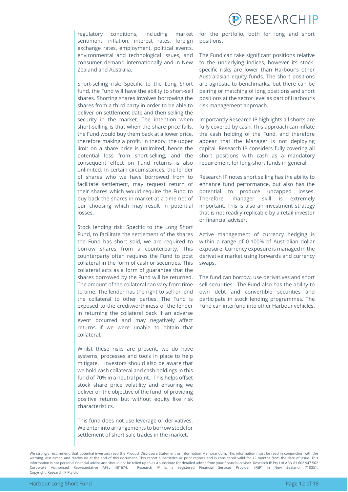**RESEARCHIP** 

regulatory conditions, including market sentiment, inflation, interest rates, foreign exchange rates, employment, political events, environmental and technological issues, and consumer demand internationally and in New Zealand and Australia.

Short-selling risk: Specific to the Long Short fund, the Fund will have the ability to short-sell shares. Shorting shares involves borrowing the shares from a third party in order to be able to deliver on settlement date and then selling the security in the market. The intention when short-selling is that when the share price falls, the Fund would buy them back at a lower price, therefore making a profit. In theory, the upper limit on a share price is unlimited, hence the potential loss from short-selling, and the consequent effect on Fund returns is also unlimited. In certain circumstances, the lender of shares who we have borrowed from to facilitate settlement, may request return of their shares which would require the Fund to buy back the shares in market at a time not of our choosing which may result in potential losses.

Stock lending risk: Specific to the Long Short Fund, to facilitate the settlement of the shares the Fund has short sold, we are required to borrow shares from a counterparty. This counterparty often requires the Fund to post collateral in the form of cash or securities. This collateral acts as a form of guarantee that the shares borrowed by the Fund will be returned. The amount of the collateral can vary from time to time. The lender has the right to sell or lend the collateral to other parties. The Fund is exposed to the creditworthiness of the lender in returning the collateral back if an adverse event occurred and may negatively affect returns if we were unable to obtain that collateral.

Whilst these risks are present, we do have systems, processes and tools in place to help mitigate. Investors should also be aware that we hold cash collateral and cash holdings in this fund of 70% in a neutral point. This helps offset stock share price volatility and ensuring we deliver on the objective of the fund, of providing positive returns but without equity like risk characteristics.

This fund does not use leverage or derivatives. We enter into arrangements to borrow stock for settlement of short sale trades in the market.

for the portfolio, both for long and short positions.

The Fund can take significant positions relative to the underlying indices, however its stockspecific risks are lower than Harbour's other Australasian equity funds. The short positions are agnostic to benchmarks, but there can be pairing or matching of long positions and short positions at the sector level as part of Harbour's risk management approach.

Importantly Research IP highlights all shorts are fully covered by cash. This approach can inflate the cash holding of the Fund, and therefore appear that the Manager is not deploying capital. Research IP considers fully covering all short positions with cash as a mandatory requirement for long-short funds in general.

Research IP notes short selling has the ability to enhance fund performance, but also has the potential to produce uncapped losses. Therefore, manager skill is extremely important. This is also an investment strategy that is not readily replicable by a retail investor or financial adviser.

Active management of currency hedging is within a range of 0-100% of Australian dollar exposure. Currency exposure is managed in the derivative market using forwards and currency swaps.

The fund can borrow, use derivatives and short sell securities. The Fund also has the ability to own debt and convertible securities and participate in stock lending programmes. The Fund can interfund into other Harbour vehicles.

We strongly recommend that potential investors read the Product Disclosure Statement or Information Memorandum. This information must be read in conjunction with the warning, disclaimer, and disclosure at the end of this document. This report supersedes all prior reports and is considered valid for 12 months from the date of issue. This information is not personal financial advice and should not be relied upon as a substitute for detailed advice from your financial adviser. Research IP Pty Ltd ABN 81 602 947 562 Corporate Authorised Representative AFSL 481674. Research IP is a registered Financial Services Provider (FSP) in New Zealand: 710351. Copyright: Research IP Pty Ltd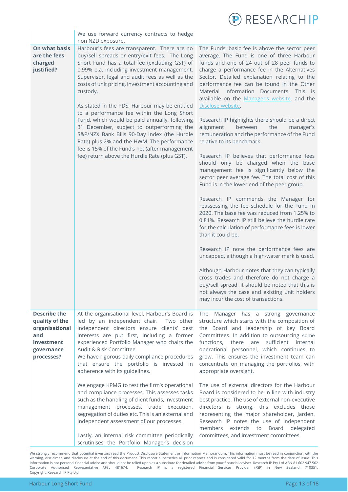

|                                                                                                          | We use forward currency contracts to hedge                                                                                                                                                                                                                                                                                                                                                                                                                                                                                                                                                                                                                                                                                         |                                                                                                                                                                                                                                                                                                                                                                                                                                                                                                                                                                                                                                                                                                                                                                                                                                                                                                                                                                                                                                                                                                                                                                                                                                                                                                                                                                                                                                        |
|----------------------------------------------------------------------------------------------------------|------------------------------------------------------------------------------------------------------------------------------------------------------------------------------------------------------------------------------------------------------------------------------------------------------------------------------------------------------------------------------------------------------------------------------------------------------------------------------------------------------------------------------------------------------------------------------------------------------------------------------------------------------------------------------------------------------------------------------------|----------------------------------------------------------------------------------------------------------------------------------------------------------------------------------------------------------------------------------------------------------------------------------------------------------------------------------------------------------------------------------------------------------------------------------------------------------------------------------------------------------------------------------------------------------------------------------------------------------------------------------------------------------------------------------------------------------------------------------------------------------------------------------------------------------------------------------------------------------------------------------------------------------------------------------------------------------------------------------------------------------------------------------------------------------------------------------------------------------------------------------------------------------------------------------------------------------------------------------------------------------------------------------------------------------------------------------------------------------------------------------------------------------------------------------------|
| On what basis<br>are the fees<br>charged<br>justified?                                                   | non NZD exposure.<br>Harbour's fees are transparent. There are no<br>buy/sell spreads or entry/exit fees. The Long<br>Short Fund has a total fee (excluding GST) of<br>0.99% p.a. including investment management,<br>Supervisor, legal and audit fees as well as the<br>costs of unit pricing, investment accounting and<br>custody.<br>As stated in the PDS, Harbour may be entitled<br>to a performance fee within the Long Short<br>Fund, which would be paid annually, following<br>31 December, subject to outperforming the<br>S&P/NZX Bank Bills 90-Day Index (the Hurdle<br>Rate) plus 2% and the HWM. The performance<br>fee is 15% of the Fund's net (after management<br>fee) return above the Hurdle Rate (plus GST). | The Funds' basic fee is above the sector peer<br>average. The Fund is one of three Harbour<br>funds and one of 24 out of 28 peer funds to<br>charge a performance fee in the Alternatives<br>Sector. Detailed explanation relating to the<br>performance fee can be found in the Other<br>Material Information Documents. This is<br>available on the Manager's website, and the<br>Disclose website.<br>Research IP highlights there should be a direct<br>alignment<br>between<br>the<br>manager's<br>remuneration and the performance of the Fund<br>relative to its benchmark.<br>Research IP believes that performance fees<br>should only be charged when the base<br>management fee is significantly below the<br>sector peer average fee. The total cost of this<br>Fund is in the lower end of the peer group.<br>Research IP commends the Manager for<br>reassessing the fee schedule for the Fund in<br>2020. The base fee was reduced from 1.25% to<br>0.81%. Research IP still believe the hurdle rate<br>for the calculation of performance fees is lower<br>than it could be.<br>Research IP note the performance fees are<br>uncapped, although a high-water mark is used.<br>Although Harbour notes that they can typically<br>cross trades and therefore do not charge a<br>buy/sell spread, it should be noted that this is<br>not always the case and existing unit holders<br>may incur the cost of transactions. |
| <b>Describe the</b><br>quality of the<br>organisational<br>and<br>investment<br>governance<br>processes? | At the organisational level, Harbour's Board is<br>led by an independent chair.<br>Two other<br>independent directors ensure clients' best<br>interests are put first, including a former<br>experienced Portfolio Manager who chairs the<br>Audit & Risk Committee.<br>We have rigorous daily compliance procedures<br>that ensure the portfolio is invested in<br>adherence with its guidelines.                                                                                                                                                                                                                                                                                                                                 | The Manager has a strong governance<br>structure which starts with the composition of<br>the Board and leadership of key Board<br>Committees. In addition to outsourcing some<br>sufficient<br>functions.<br>there<br>are<br>internal<br>operational personnel, which continues to<br>grow. This ensures the investment team can<br>concentrate on managing the portfolios, with<br>appropriate oversight.                                                                                                                                                                                                                                                                                                                                                                                                                                                                                                                                                                                                                                                                                                                                                                                                                                                                                                                                                                                                                             |
|                                                                                                          | We engage KPMG to test the firm's operational<br>and compliance processes. This assesses tasks<br>such as the handling of client funds, investment<br>management processes, trade execution,<br>segregation of duties etc. This is an external and<br>independent assessment of our processes.<br>Lastly, an internal risk committee periodically<br>scrutinises the Portfolio Manager's decision                                                                                                                                                                                                                                                                                                                                  | The use of external directors for the Harbour<br>Board is considered to be in line with industry<br>best practice. The use of external non-executive<br>directors is strong, this excludes those<br>representing the major shareholder, Jarden.<br>Research IP notes the use of independent<br>members<br>extends to Board delegated<br>committees, and investment committees.                                                                                                                                                                                                                                                                                                                                                                                                                                                                                                                                                                                                                                                                                                                                                                                                                                                                                                                                                                                                                                                         |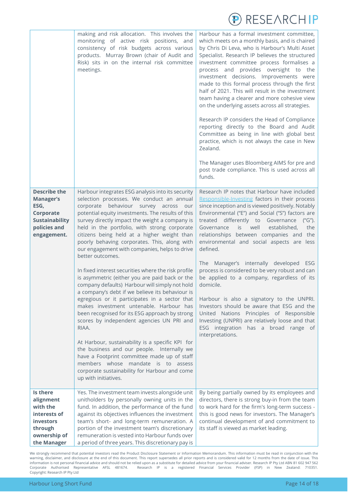

|                                                                                                                      | making and risk allocation. This involves the<br>monitoring of active risk positions, and<br>consistency of risk budgets across various<br>products. Murray Brown (chair of Audit and<br>Risk) sits in on the internal risk committee<br>meetings.                                                                                                                                                                                                                                                                                                                                                                                                                                                                                                                                                                                                                                                                                                                                                                                                                                                                                                   | Harbour has a formal investment committee,<br>which meets on a monthly basis, and is chaired<br>by Chris Di Leva, who is Harbour's Multi Asset<br>Specialist. Research IP believes the structured<br>investment committee process formalises a<br>process and provides oversight to the<br>investment decisions. Improvements were<br>made to this formal process through the first<br>half of 2021. This will result in the investment<br>team having a clearer and more cohesive view<br>on the underlying assets across all strategies.<br>Research IP considers the Head of Compliance<br>reporting directly to the Board and Audit<br>Committee as being in line with global best<br>practice, which is not always the case in New<br>Zealand.<br>The Manager uses Bloomberg AIMS for pre and<br>post trade compliance. This is used across all |
|----------------------------------------------------------------------------------------------------------------------|------------------------------------------------------------------------------------------------------------------------------------------------------------------------------------------------------------------------------------------------------------------------------------------------------------------------------------------------------------------------------------------------------------------------------------------------------------------------------------------------------------------------------------------------------------------------------------------------------------------------------------------------------------------------------------------------------------------------------------------------------------------------------------------------------------------------------------------------------------------------------------------------------------------------------------------------------------------------------------------------------------------------------------------------------------------------------------------------------------------------------------------------------|------------------------------------------------------------------------------------------------------------------------------------------------------------------------------------------------------------------------------------------------------------------------------------------------------------------------------------------------------------------------------------------------------------------------------------------------------------------------------------------------------------------------------------------------------------------------------------------------------------------------------------------------------------------------------------------------------------------------------------------------------------------------------------------------------------------------------------------------------|
| <b>Describe the</b><br><b>Manager's</b><br>ESG,<br>Corporate<br><b>Sustainability</b><br>policies and<br>engagement. | Harbour integrates ESG analysis into its security<br>selection processes. We conduct an annual<br>corporate behaviour survey across our<br>potential equity investments. The results of this<br>survey directly impact the weight a company is<br>held in the portfolio, with strong corporate<br>citizens being held at a higher weight than<br>poorly behaving corporates. This, along with<br>our engagement with companies, helps to drive<br>better outcomes.<br>In fixed interest securities where the risk profile<br>is asymmetric (either you are paid back or the<br>company defaults) Harbour will simply not hold<br>a company's debt if we believe its behaviour is<br>egregious or it participates in a sector that<br>makes investment untenable. Harbour has<br>been recognised for its ESG approach by strong<br>scores by independent agencies UN PRI and<br>RIAA.<br>At Harbour, sustainability is a specific KPI for<br>the business and our people. Internally we<br>have a Footprint committee made up of staff<br>members whose mandate is to assess<br>corporate sustainability for Harbour and come<br>up with initiatives. | funds.<br>Research IP notes that Harbour have included<br>Responsible-Investing factors in their process<br>since inception and is viewed positively. Notably<br>Environmental ("E") and Social ("S") factors are<br>treated differently to Governance ("G").<br>is well<br>Governance<br>established,<br>the<br>relationships between companies and the<br>environmental and social aspects are less<br>defined.<br>The Manager's internally developed ESG<br>process is considered to be very robust and can<br>be applied to a company, regardless of its<br>domicile.<br>Harbour is also a signatory to the UNPRI.<br>Investors should be aware that ESG and the<br>United Nations Principles of Responsible<br>Investing (UNPRI) are relatively loose and that<br>ESG integration has a broad range of<br>interpretations.                      |
| Is there<br>alignment<br>with the<br>interests of<br><b>investors</b><br>through<br>ownership of<br>the Manager      | Yes. The investment team invests alongside unit<br>unitholders by personally owning units in the<br>fund. In addition, the performance of the fund<br>against its objectives influences the investment<br>team's short- and long-term remuneration. A<br>portion of the investment team's discretionary<br>remuneration is vested into Harbour funds over<br>a period of three years. This discretionary pay is                                                                                                                                                                                                                                                                                                                                                                                                                                                                                                                                                                                                                                                                                                                                      | By being partially owned by its employees and<br>directors, there is strong buy-in from the team<br>to work hard for the firm's long-term success -<br>this is good news for investors. The Manager's<br>continual development of and commitment to<br>its staff is viewed as market leading.                                                                                                                                                                                                                                                                                                                                                                                                                                                                                                                                                        |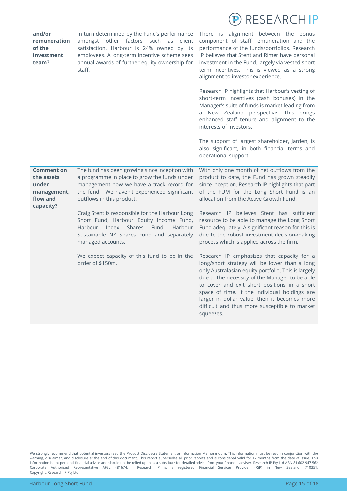| <b>P RESEARCHIP</b> |  |
|---------------------|--|
|---------------------|--|

<span id="page-14-0"></span>

| and/or<br>remuneration<br>of the<br>investment<br>team?                          | in turn determined by the Fund's performance<br>amongst other factors such as<br>client<br>satisfaction. Harbour is 24% owned by its<br>employees. A long-term incentive scheme sees<br>annual awards of further equity ownership for<br>staff.                                                                                                                                                                                                                                                             | There is alignment between the bonus<br>component of staff remuneration and the<br>performance of the funds/portfolios. Research<br>IP believes that Stent and Rimer have personal<br>investment in the Fund, largely via vested short<br>term incentives. This is viewed as a strong<br>alignment to investor experience.<br>Research IP highlights that Harbour's vesting of<br>short-term incentives (cash bonuses) in the<br>Manager's suite of funds is market leading from<br>a New Zealand perspective. This brings<br>enhanced staff tenure and alignment to the<br>interests of investors.<br>The support of largest shareholder, Jarden, is<br>also significant, in both financial terms and<br>operational support.                                                                                                                                                                                 |
|----------------------------------------------------------------------------------|-------------------------------------------------------------------------------------------------------------------------------------------------------------------------------------------------------------------------------------------------------------------------------------------------------------------------------------------------------------------------------------------------------------------------------------------------------------------------------------------------------------|----------------------------------------------------------------------------------------------------------------------------------------------------------------------------------------------------------------------------------------------------------------------------------------------------------------------------------------------------------------------------------------------------------------------------------------------------------------------------------------------------------------------------------------------------------------------------------------------------------------------------------------------------------------------------------------------------------------------------------------------------------------------------------------------------------------------------------------------------------------------------------------------------------------|
| <b>Comment on</b><br>the assets<br>under<br>management,<br>flow and<br>capacity? | The fund has been growing since inception with<br>a programme in place to grow the funds under<br>management now we have a track record for<br>the fund. We haven't experienced significant<br>outflows in this product.<br>Craig Stent is responsible for the Harbour Long<br>Short Fund, Harbour Equity Income Fund,<br>Harbour Index<br>Shares<br>Fund,<br>Harbour<br>Sustainable NZ Shares Fund and separately<br>managed accounts.<br>We expect capacity of this fund to be in the<br>order of \$150m. | With only one month of net outflows from the<br>product to date, the Fund has grown steadily<br>since inception. Research IP highlights that part<br>of the FUM for the Long Short Fund is an<br>allocation from the Active Growth Fund.<br>Research IP believes Stent has sufficient<br>resource to be able to manage the Long Short<br>Fund adequately. A significant reason for this is<br>due to the robust investment decision-making<br>process which is applied across the firm.<br>Research IP emphasizes that capacity for a<br>long/short strategy will be lower than a long<br>only Australasian equity portfolio. This is largely<br>due to the necessity of the Manager to be able<br>to cover and exit short positions in a short<br>space of time. If the individual holdings are<br>larger in dollar value, then it becomes more<br>difficult and thus more susceptible to market<br>squeezes. |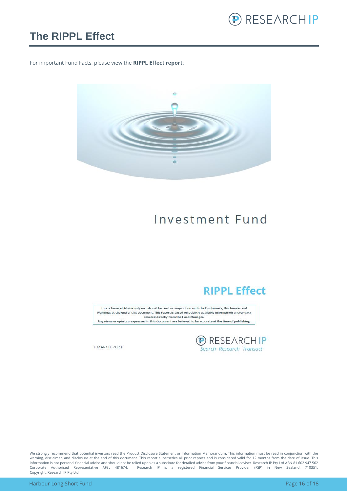

#### **The RIPPL Effect**

For important Fund Facts, please view the **RIPPL Effect report**:



### Investment Fund

#### **RIPPL Effect**

This is General Advice only and should be read in conjunction with the Disclaimers, Disclosures and Warnings at the end of this document. This report is based on publicly available information and/or data sourced directly from the Fund Manager. Any views or opinions expressed in this document are believed to be accurate at the time of publishing.

**D** RESEARCHIP<br>Search Research Transact

1 MARCH 2021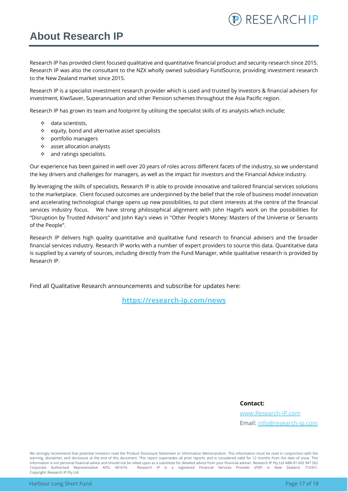### <span id="page-16-0"></span>**About Research IP**

Research IP has provided client focused qualitative and quantitative financial product and security research since 2015. Research IP was also the consultant to the NZX wholly owned subsidiary FundSource, providing investment research to the New Zealand market since 2015.

Research IP is a specialist investment research provider which is used and trusted by investors & financial advisers for investment, KiwiSaver, Superannuation and other Pension schemes throughout the Asia Pacific region.

Research IP has grown its team and footprint by utilising the specialist skills of its analysts which include;

- ❖ data scientists,
- ❖ equity, bond and alternative asset specialists
- ❖ portfolio managers
- ❖ asset allocation analysts
- ❖ and ratings specialists.

Our experience has been gained in well over 20 years of roles across different facets of the industry, so we understand the key drivers and challenges for managers, as well as the impact for investors and the Financial Advice industry.

By leveraging the skills of specialists, Research IP is able to provide innovative and tailored financial services solutions to the marketplace. Client focused outcomes are underpinned by the belief that the role of business model innovation and accelerating technological change opens up new possibilities, to put client interests at the centre of the financial services industry focus. We have strong philosophical alignment with John Hagel's work on the possibilities for "Disruption by Trusted Advisors" and John Kay's views in "Other People's Money: Masters of the Universe or Servants of the People".

Research IP delivers high quality quantitative and qualitative fund research to financial advisers and the broader financial services industry. Research IP works with a number of expert providers to source this data. Quantitative data is supplied by a variety of sources, including directly from the Fund Manager, while qualitative research is provided by Research IP.

Find all Qualitative Research announcements and subscribe for updates here:

**[https://research-ip.com/news](https://research-ip.com/category/qualitative-research/)**

**Contact:**

[www.Research-IP.com](http://www.research-ip.com/) Email: [info@research-ip.com](mailto:info@research-ip.com)

RESEARCHIP